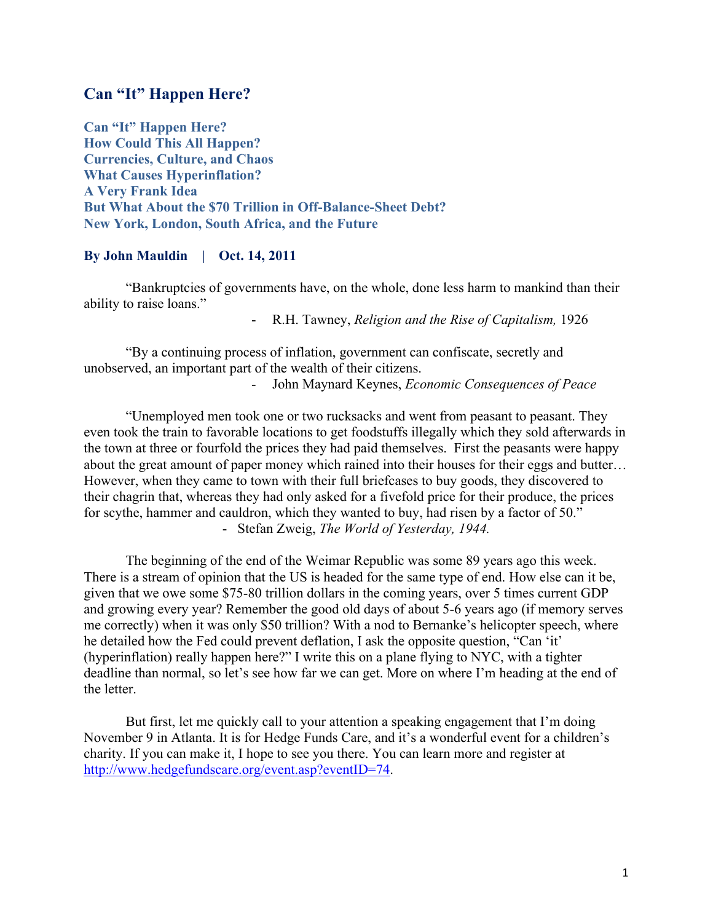# **Can "It" Happen Here?**

**Can "It" Happen Here? How Could This All Happen? Currencies, Culture, and Chaos What Causes Hyperinflation? A Very Frank Idea But What About the \$70 Trillion in Off-Balance-Sheet Debt? New York, London, South Africa, and the Future**

## **By John Mauldin | Oct. 14, 2011**

"Bankruptcies of governments have, on the whole, done less harm to mankind than their ability to raise loans."

- R.H. Tawney, *Religion and the Rise of Capitalism,* 1926

"By a continuing process of inflation, government can confiscate, secretly and unobserved, an important part of the wealth of their citizens.

- John Maynard Keynes, *Economic Consequences of Peace*

"Unemployed men took one or two rucksacks and went from peasant to peasant. They even took the train to favorable locations to get foodstuffs illegally which they sold afterwards in the town at three or fourfold the prices they had paid themselves. First the peasants were happy about the great amount of paper money which rained into their houses for their eggs and butter… However, when they came to town with their full briefcases to buy goods, they discovered to their chagrin that, whereas they had only asked for a fivefold price for their produce, the prices for scythe, hammer and cauldron, which they wanted to buy, had risen by a factor of 50." - Stefan Zweig, *The World of Yesterday, 1944.*

The beginning of the end of the Weimar Republic was some 89 years ago this week. There is a stream of opinion that the US is headed for the same type of end. How else can it be, given that we owe some \$75-80 trillion dollars in the coming years, over 5 times current GDP and growing every year? Remember the good old days of about 5-6 years ago (if memory serves me correctly) when it was only \$50 trillion? With a nod to Bernanke's helicopter speech, where he detailed how the Fed could prevent deflation, I ask the opposite question, "Can 'it' (hyperinflation) really happen here?" I write this on a plane flying to NYC, with a tighter deadline than normal, so let's see how far we can get. More on where I'm heading at the end of the letter.

But first, let me quickly call to your attention a speaking engagement that I'm doing November 9 in Atlanta. It is for Hedge Funds Care, and it's a wonderful event for a children's charity. If you can make it, I hope to see you there. You can learn more and register at http://www.hedgefundscare.org/event.asp?eventID=74.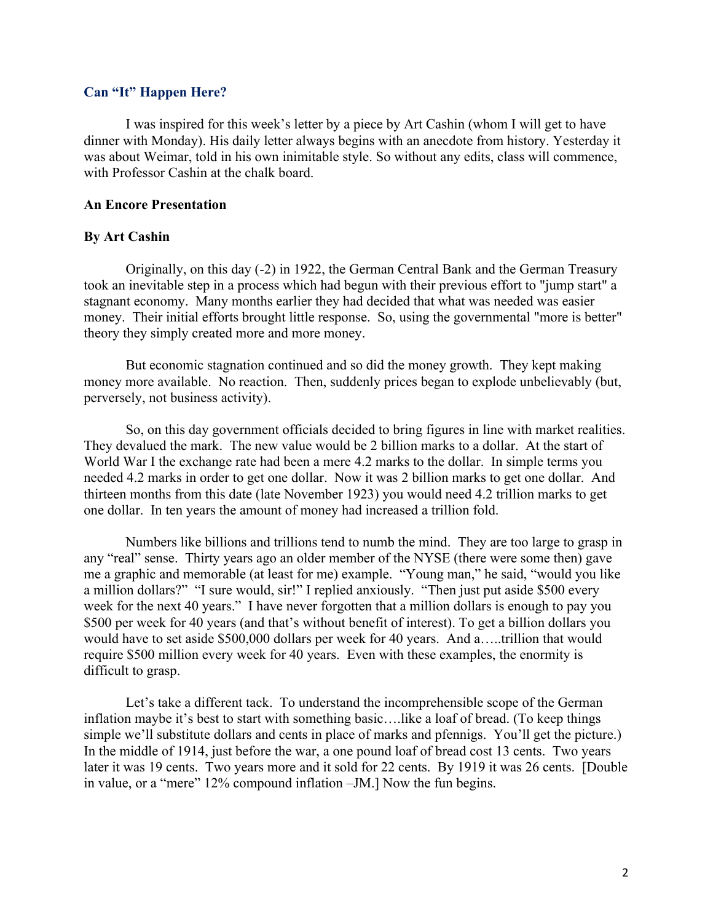#### **Can "It" Happen Here?**

I was inspired for this week's letter by a piece by Art Cashin (whom I will get to have dinner with Monday). His daily letter always begins with an anecdote from history. Yesterday it was about Weimar, told in his own inimitable style. So without any edits, class will commence, with Professor Cashin at the chalk board.

#### **An Encore Presentation**

#### **By Art Cashin**

Originally, on this day (-2) in 1922, the German Central Bank and the German Treasury took an inevitable step in a process which had begun with their previous effort to "jump start" a stagnant economy. Many months earlier they had decided that what was needed was easier money. Their initial efforts brought little response. So, using the governmental "more is better" theory they simply created more and more money.

But economic stagnation continued and so did the money growth. They kept making money more available. No reaction. Then, suddenly prices began to explode unbelievably (but, perversely, not business activity).

So, on this day government officials decided to bring figures in line with market realities. They devalued the mark. The new value would be 2 billion marks to a dollar. At the start of World War I the exchange rate had been a mere 4.2 marks to the dollar. In simple terms you needed 4.2 marks in order to get one dollar. Now it was 2 billion marks to get one dollar. And thirteen months from this date (late November 1923) you would need 4.2 trillion marks to get one dollar. In ten years the amount of money had increased a trillion fold.

Numbers like billions and trillions tend to numb the mind. They are too large to grasp in any "real" sense. Thirty years ago an older member of the NYSE (there were some then) gave me a graphic and memorable (at least for me) example. "Young man," he said, "would you like a million dollars?" "I sure would, sir!" I replied anxiously. "Then just put aside \$500 every week for the next 40 years." I have never forgotten that a million dollars is enough to pay you \$500 per week for 40 years (and that's without benefit of interest). To get a billion dollars you would have to set aside \$500,000 dollars per week for 40 years. And a…..trillion that would require \$500 million every week for 40 years. Even with these examples, the enormity is difficult to grasp.

Let's take a different tack. To understand the incomprehensible scope of the German inflation maybe it's best to start with something basic….like a loaf of bread. (To keep things simple we'll substitute dollars and cents in place of marks and pfennigs. You'll get the picture.) In the middle of 1914, just before the war, a one pound loaf of bread cost 13 cents. Two years later it was 19 cents. Two years more and it sold for 22 cents. By 1919 it was 26 cents. [Double in value, or a "mere" 12% compound inflation –JM.] Now the fun begins.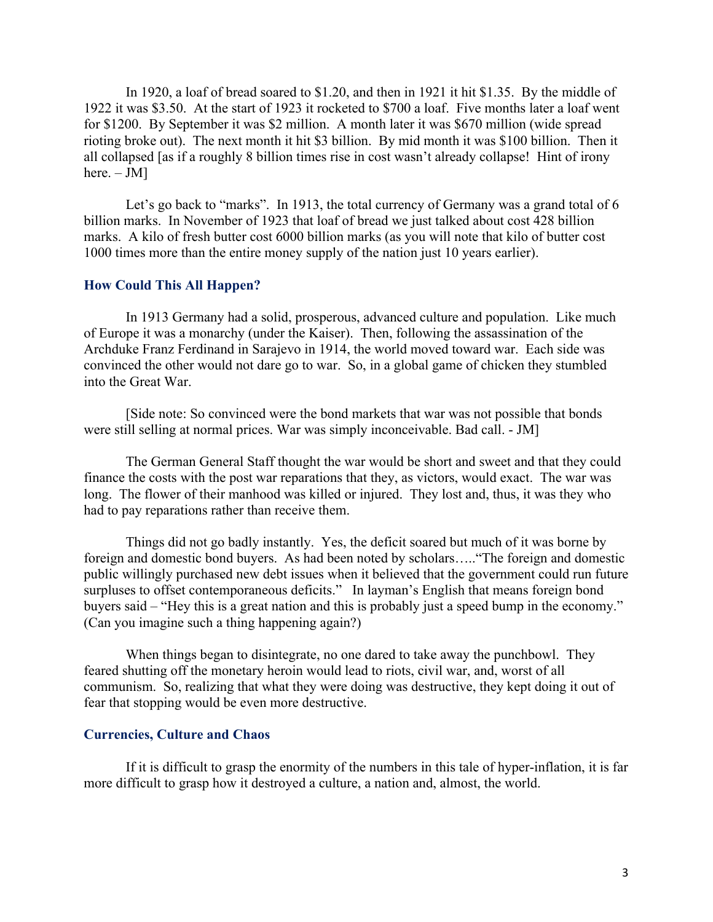In 1920, a loaf of bread soared to \$1.20, and then in 1921 it hit \$1.35. By the middle of 1922 it was \$3.50. At the start of 1923 it rocketed to \$700 a loaf. Five months later a loaf went for \$1200. By September it was \$2 million. A month later it was \$670 million (wide spread rioting broke out). The next month it hit \$3 billion. By mid month it was \$100 billion. Then it all collapsed [as if a roughly 8 billion times rise in cost wasn't already collapse! Hint of irony here.  $-$  JM]

Let's go back to "marks". In 1913, the total currency of Germany was a grand total of 6 billion marks. In November of 1923 that loaf of bread we just talked about cost 428 billion marks. A kilo of fresh butter cost 6000 billion marks (as you will note that kilo of butter cost 1000 times more than the entire money supply of the nation just 10 years earlier).

#### **How Could This All Happen?**

In 1913 Germany had a solid, prosperous, advanced culture and population. Like much of Europe it was a monarchy (under the Kaiser). Then, following the assassination of the Archduke Franz Ferdinand in Sarajevo in 1914, the world moved toward war. Each side was convinced the other would not dare go to war. So, in a global game of chicken they stumbled into the Great War.

[Side note: So convinced were the bond markets that war was not possible that bonds were still selling at normal prices. War was simply inconceivable. Bad call. - JM]

The German General Staff thought the war would be short and sweet and that they could finance the costs with the post war reparations that they, as victors, would exact. The war was long. The flower of their manhood was killed or injured. They lost and, thus, it was they who had to pay reparations rather than receive them.

Things did not go badly instantly. Yes, the deficit soared but much of it was borne by foreign and domestic bond buyers. As had been noted by scholars….."The foreign and domestic public willingly purchased new debt issues when it believed that the government could run future surpluses to offset contemporaneous deficits." In layman's English that means foreign bond buyers said – "Hey this is a great nation and this is probably just a speed bump in the economy." (Can you imagine such a thing happening again?)

When things began to disintegrate, no one dared to take away the punchbowl. They feared shutting off the monetary heroin would lead to riots, civil war, and, worst of all communism. So, realizing that what they were doing was destructive, they kept doing it out of fear that stopping would be even more destructive.

#### **Currencies, Culture and Chaos**

If it is difficult to grasp the enormity of the numbers in this tale of hyper-inflation, it is far more difficult to grasp how it destroyed a culture, a nation and, almost, the world.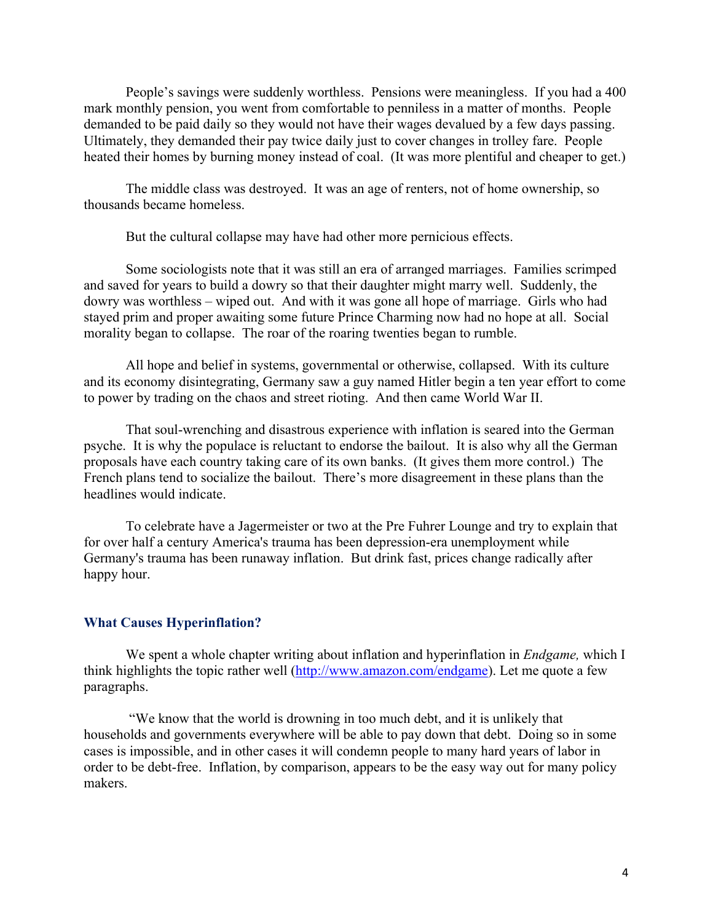People's savings were suddenly worthless. Pensions were meaningless. If you had a 400 mark monthly pension, you went from comfortable to penniless in a matter of months. People demanded to be paid daily so they would not have their wages devalued by a few days passing. Ultimately, they demanded their pay twice daily just to cover changes in trolley fare. People heated their homes by burning money instead of coal. (It was more plentiful and cheaper to get.)

The middle class was destroyed. It was an age of renters, not of home ownership, so thousands became homeless.

But the cultural collapse may have had other more pernicious effects.

Some sociologists note that it was still an era of arranged marriages. Families scrimped and saved for years to build a dowry so that their daughter might marry well. Suddenly, the dowry was worthless – wiped out. And with it was gone all hope of marriage. Girls who had stayed prim and proper awaiting some future Prince Charming now had no hope at all. Social morality began to collapse. The roar of the roaring twenties began to rumble.

All hope and belief in systems, governmental or otherwise, collapsed. With its culture and its economy disintegrating, Germany saw a guy named Hitler begin a ten year effort to come to power by trading on the chaos and street rioting. And then came World War II.

That soul-wrenching and disastrous experience with inflation is seared into the German psyche. It is why the populace is reluctant to endorse the bailout. It is also why all the German proposals have each country taking care of its own banks. (It gives them more control.) The French plans tend to socialize the bailout. There's more disagreement in these plans than the headlines would indicate.

To celebrate have a Jagermeister or two at the Pre Fuhrer Lounge and try to explain that for over half a century America's trauma has been depression-era unemployment while Germany's trauma has been runaway inflation. But drink fast, prices change radically after happy hour.

### **What Causes Hyperinflation?**

We spent a whole chapter writing about inflation and hyperinflation in *Endgame,* which I think highlights the topic rather well (http://www.amazon.com/endgame). Let me quote a few paragraphs.

"We know that the world is drowning in too much debt, and it is unlikely that households and governments everywhere will be able to pay down that debt. Doing so in some cases is impossible, and in other cases it will condemn people to many hard years of labor in order to be debt-free. Inflation, by comparison, appears to be the easy way out for many policy makers.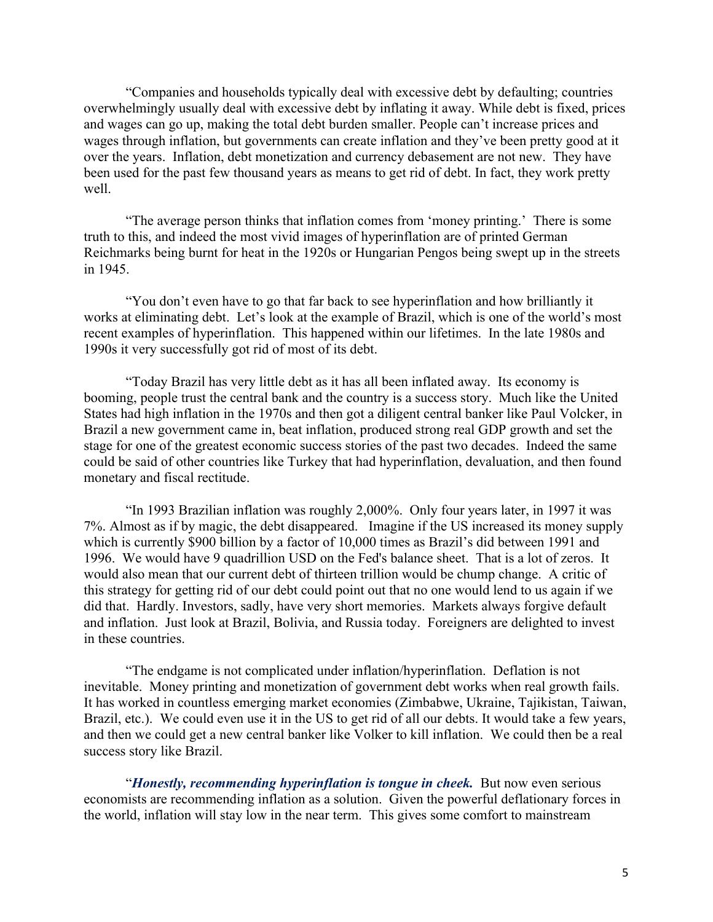"Companies and households typically deal with excessive debt by defaulting; countries overwhelmingly usually deal with excessive debt by inflating it away. While debt is fixed, prices and wages can go up, making the total debt burden smaller. People can't increase prices and wages through inflation, but governments can create inflation and they've been pretty good at it over the years. Inflation, debt monetization and currency debasement are not new. They have been used for the past few thousand years as means to get rid of debt. In fact, they work pretty well.

"The average person thinks that inflation comes from 'money printing.' There is some truth to this, and indeed the most vivid images of hyperinflation are of printed German Reichmarks being burnt for heat in the 1920s or Hungarian Pengos being swept up in the streets in 1945.

"You don't even have to go that far back to see hyperinflation and how brilliantly it works at eliminating debt. Let's look at the example of Brazil, which is one of the world's most recent examples of hyperinflation. This happened within our lifetimes. In the late 1980s and 1990s it very successfully got rid of most of its debt.

"Today Brazil has very little debt as it has all been inflated away. Its economy is booming, people trust the central bank and the country is a success story. Much like the United States had high inflation in the 1970s and then got a diligent central banker like Paul Volcker, in Brazil a new government came in, beat inflation, produced strong real GDP growth and set the stage for one of the greatest economic success stories of the past two decades. Indeed the same could be said of other countries like Turkey that had hyperinflation, devaluation, and then found monetary and fiscal rectitude.

"In 1993 Brazilian inflation was roughly 2,000%. Only four years later, in 1997 it was 7%. Almost as if by magic, the debt disappeared. Imagine if the US increased its money supply which is currently \$900 billion by a factor of 10,000 times as Brazil's did between 1991 and 1996. We would have 9 quadrillion USD on the Fed's balance sheet. That is a lot of zeros. It would also mean that our current debt of thirteen trillion would be chump change. A critic of this strategy for getting rid of our debt could point out that no one would lend to us again if we did that. Hardly. Investors, sadly, have very short memories. Markets always forgive default and inflation. Just look at Brazil, Bolivia, and Russia today. Foreigners are delighted to invest in these countries.

"The endgame is not complicated under inflation/hyperinflation. Deflation is not inevitable. Money printing and monetization of government debt works when real growth fails. It has worked in countless emerging market economies (Zimbabwe, Ukraine, Tajikistan, Taiwan, Brazil, etc.). We could even use it in the US to get rid of all our debts. It would take a few years, and then we could get a new central banker like Volker to kill inflation. We could then be a real success story like Brazil.

"*Honestly, recommending hyperinflation is tongue in cheek.* But now even serious economists are recommending inflation as a solution. Given the powerful deflationary forces in the world, inflation will stay low in the near term. This gives some comfort to mainstream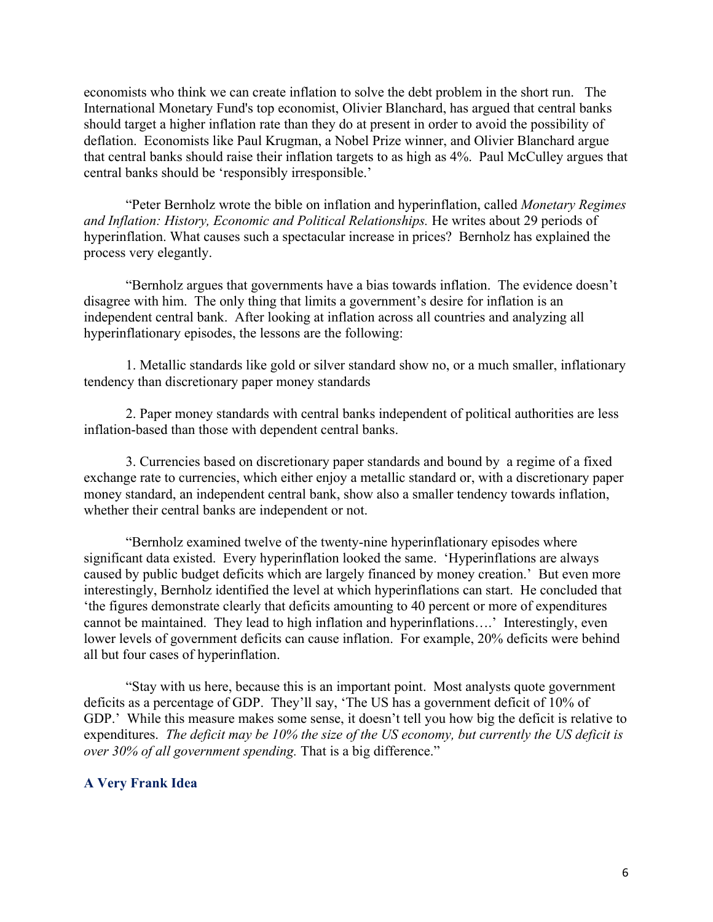economists who think we can create inflation to solve the debt problem in the short run. The International Monetary Fund's top economist, Olivier Blanchard, has argued that central banks should target a higher inflation rate than they do at present in order to avoid the possibility of deflation. Economists like Paul Krugman, a Nobel Prize winner, and Olivier Blanchard argue that central banks should raise their inflation targets to as high as 4%. Paul McCulley argues that central banks should be 'responsibly irresponsible.'

"Peter Bernholz wrote the bible on inflation and hyperinflation, called *Monetary Regimes and Inflation: History, Economic and Political Relationships.* He writes about 29 periods of hyperinflation. What causes such a spectacular increase in prices? Bernholz has explained the process very elegantly.

"Bernholz argues that governments have a bias towards inflation. The evidence doesn't disagree with him. The only thing that limits a government's desire for inflation is an independent central bank. After looking at inflation across all countries and analyzing all hyperinflationary episodes, the lessons are the following:

1. Metallic standards like gold or silver standard show no, or a much smaller, inflationary tendency than discretionary paper money standards

2. Paper money standards with central banks independent of political authorities are less inflation-based than those with dependent central banks.

3. Currencies based on discretionary paper standards and bound by a regime of a fixed exchange rate to currencies, which either enjoy a metallic standard or, with a discretionary paper money standard, an independent central bank, show also a smaller tendency towards inflation, whether their central banks are independent or not.

"Bernholz examined twelve of the twenty-nine hyperinflationary episodes where significant data existed. Every hyperinflation looked the same. 'Hyperinflations are always caused by public budget deficits which are largely financed by money creation.' But even more interestingly, Bernholz identified the level at which hyperinflations can start. He concluded that 'the figures demonstrate clearly that deficits amounting to 40 percent or more of expenditures cannot be maintained. They lead to high inflation and hyperinflations….' Interestingly, even lower levels of government deficits can cause inflation. For example, 20% deficits were behind all but four cases of hyperinflation.

"Stay with us here, because this is an important point. Most analysts quote government deficits as a percentage of GDP. They'll say, 'The US has a government deficit of 10% of GDP.' While this measure makes some sense, it doesn't tell you how big the deficit is relative to expenditures. *The deficit may be 10% the size of the US economy, but currently the US deficit is over 30% of all government spending.* That is a big difference."

#### **A Very Frank Idea**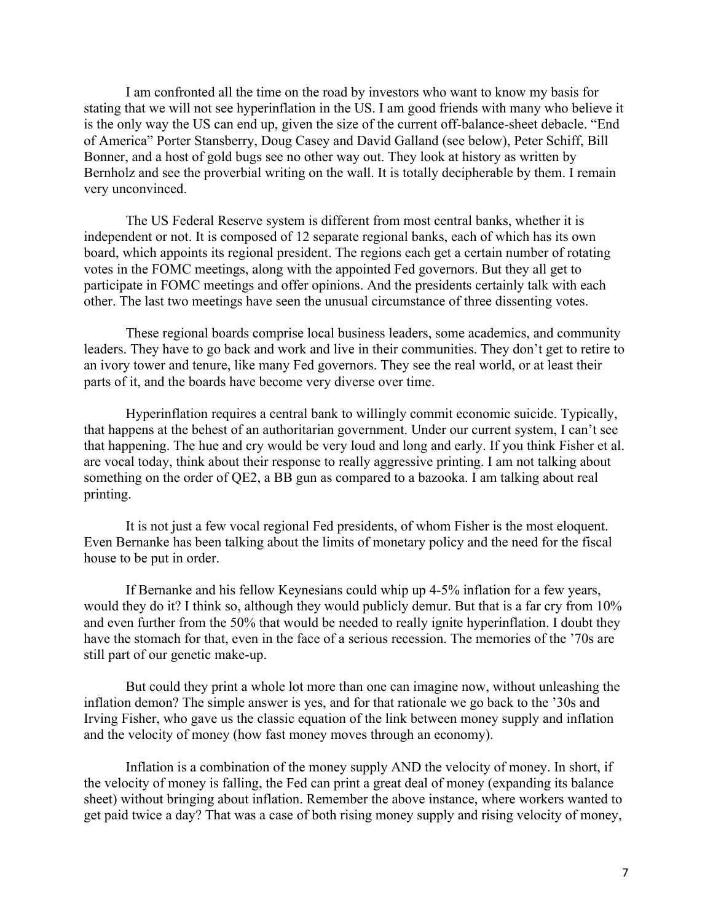I am confronted all the time on the road by investors who want to know my basis for stating that we will not see hyperinflation in the US. I am good friends with many who believe it is the only way the US can end up, given the size of the current off-balance-sheet debacle. "End of America" Porter Stansberry, Doug Casey and David Galland (see below), Peter Schiff, Bill Bonner, and a host of gold bugs see no other way out. They look at history as written by Bernholz and see the proverbial writing on the wall. It is totally decipherable by them. I remain very unconvinced.

The US Federal Reserve system is different from most central banks, whether it is independent or not. It is composed of 12 separate regional banks, each of which has its own board, which appoints its regional president. The regions each get a certain number of rotating votes in the FOMC meetings, along with the appointed Fed governors. But they all get to participate in FOMC meetings and offer opinions. And the presidents certainly talk with each other. The last two meetings have seen the unusual circumstance of three dissenting votes.

These regional boards comprise local business leaders, some academics, and community leaders. They have to go back and work and live in their communities. They don't get to retire to an ivory tower and tenure, like many Fed governors. They see the real world, or at least their parts of it, and the boards have become very diverse over time.

Hyperinflation requires a central bank to willingly commit economic suicide. Typically, that happens at the behest of an authoritarian government. Under our current system, I can't see that happening. The hue and cry would be very loud and long and early. If you think Fisher et al. are vocal today, think about their response to really aggressive printing. I am not talking about something on the order of QE2, a BB gun as compared to a bazooka. I am talking about real printing.

It is not just a few vocal regional Fed presidents, of whom Fisher is the most eloquent. Even Bernanke has been talking about the limits of monetary policy and the need for the fiscal house to be put in order.

If Bernanke and his fellow Keynesians could whip up 4-5% inflation for a few years, would they do it? I think so, although they would publicly demur. But that is a far cry from 10% and even further from the 50% that would be needed to really ignite hyperinflation. I doubt they have the stomach for that, even in the face of a serious recession. The memories of the '70s are still part of our genetic make-up.

But could they print a whole lot more than one can imagine now, without unleashing the inflation demon? The simple answer is yes, and for that rationale we go back to the '30s and Irving Fisher, who gave us the classic equation of the link between money supply and inflation and the velocity of money (how fast money moves through an economy).

Inflation is a combination of the money supply AND the velocity of money. In short, if the velocity of money is falling, the Fed can print a great deal of money (expanding its balance sheet) without bringing about inflation. Remember the above instance, where workers wanted to get paid twice a day? That was a case of both rising money supply and rising velocity of money,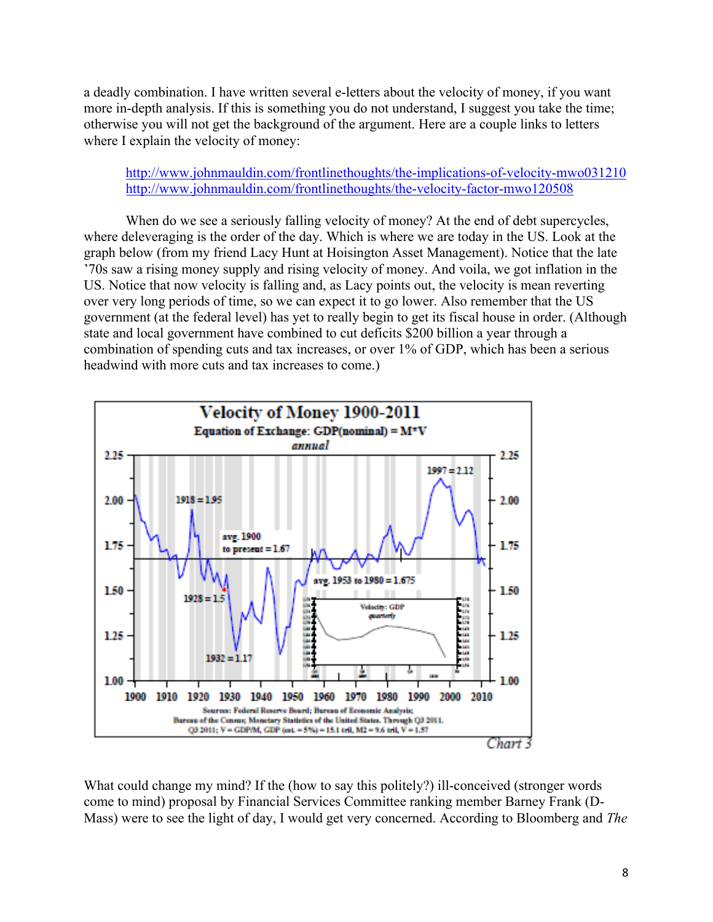a deadly combination. I have written several e-letters about the velocity of money, if you want more in-depth analysis. If this is something you do not understand, I suggest you take the time; otherwise you will not get the background of the argument. Here are a couple links to letters where I explain the velocity of money:

# http://www.johnmauldin.com/frontlinethoughts/the-implications-of-velocity-mwo031210 http://www.johnmauldin.com/frontlinethoughts/the-velocity-factor-mwo120508

When do we see a seriously falling velocity of money? At the end of debt supercycles, where deleveraging is the order of the day. Which is where we are today in the US. Look at the graph below (from my friend Lacy Hunt at Hoisington Asset Management). Notice that the late '70s saw a rising money supply and rising velocity of money. And voila, we got inflation in the US. Notice that now velocity is falling and, as Lacy points out, the velocity is mean reverting over very long periods of time, so we can expect it to go lower. Also remember that the US government (at the federal level) has yet to really begin to get its fiscal house in order. (Although state and local government have combined to cut deficits \$200 billion a year through a combination of spending cuts and tax increases, or over 1% of GDP, which has been a serious headwind with more cuts and tax increases to come.)



What could change my mind? If the (how to say this politely?) ill-conceived (stronger words come to mind) proposal by Financial Services Committee ranking member Barney Frank (D-Mass) were to see the light of day, I would get very concerned. According to Bloomberg and *The*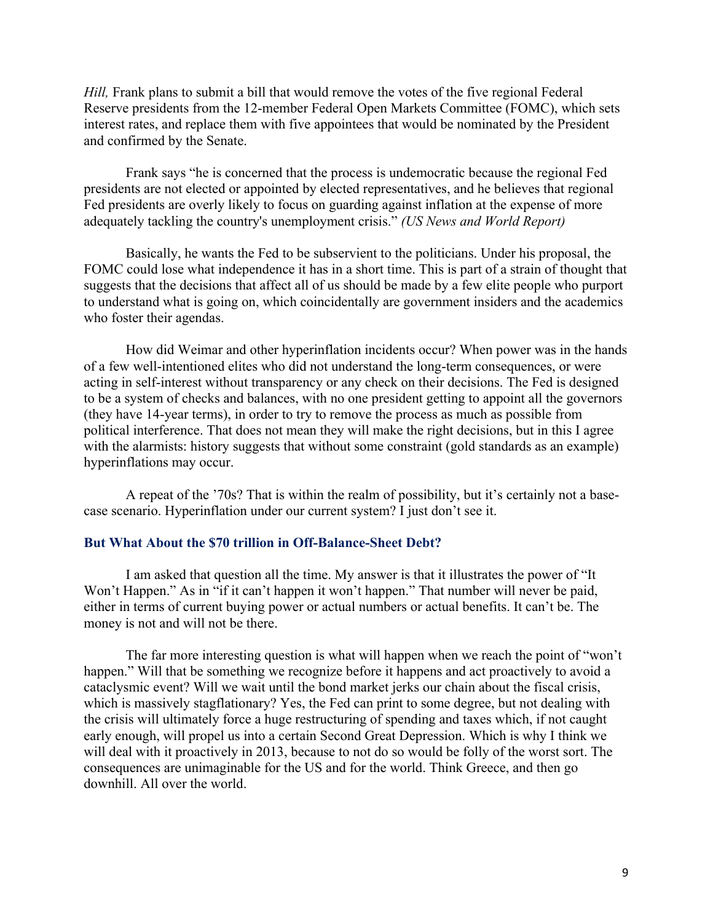*Hill*, Frank plans to submit a bill that would remove the votes of the five regional Federal Reserve presidents from the 12-member Federal Open Markets Committee (FOMC), which sets interest rates, and replace them with five appointees that would be nominated by the President and confirmed by the Senate.

Frank says "he is concerned that the process is undemocratic because the regional Fed presidents are not elected or appointed by elected representatives, and he believes that regional Fed presidents are overly likely to focus on guarding against inflation at the expense of more adequately tackling the country's unemployment crisis." *(US News and World Report)*

Basically, he wants the Fed to be subservient to the politicians. Under his proposal, the FOMC could lose what independence it has in a short time. This is part of a strain of thought that suggests that the decisions that affect all of us should be made by a few elite people who purport to understand what is going on, which coincidentally are government insiders and the academics who foster their agendas.

How did Weimar and other hyperinflation incidents occur? When power was in the hands of a few well-intentioned elites who did not understand the long-term consequences, or were acting in self-interest without transparency or any check on their decisions. The Fed is designed to be a system of checks and balances, with no one president getting to appoint all the governors (they have 14-year terms), in order to try to remove the process as much as possible from political interference. That does not mean they will make the right decisions, but in this I agree with the alarmists: history suggests that without some constraint (gold standards as an example) hyperinflations may occur.

A repeat of the '70s? That is within the realm of possibility, but it's certainly not a basecase scenario. Hyperinflation under our current system? I just don't see it.

#### **But What About the \$70 trillion in Off-Balance-Sheet Debt?**

I am asked that question all the time. My answer is that it illustrates the power of "It Won't Happen." As in "if it can't happen it won't happen." That number will never be paid, either in terms of current buying power or actual numbers or actual benefits. It can't be. The money is not and will not be there.

The far more interesting question is what will happen when we reach the point of "won't happen." Will that be something we recognize before it happens and act proactively to avoid a cataclysmic event? Will we wait until the bond market jerks our chain about the fiscal crisis, which is massively stagflationary? Yes, the Fed can print to some degree, but not dealing with the crisis will ultimately force a huge restructuring of spending and taxes which, if not caught early enough, will propel us into a certain Second Great Depression. Which is why I think we will deal with it proactively in 2013, because to not do so would be folly of the worst sort. The consequences are unimaginable for the US and for the world. Think Greece, and then go downhill. All over the world.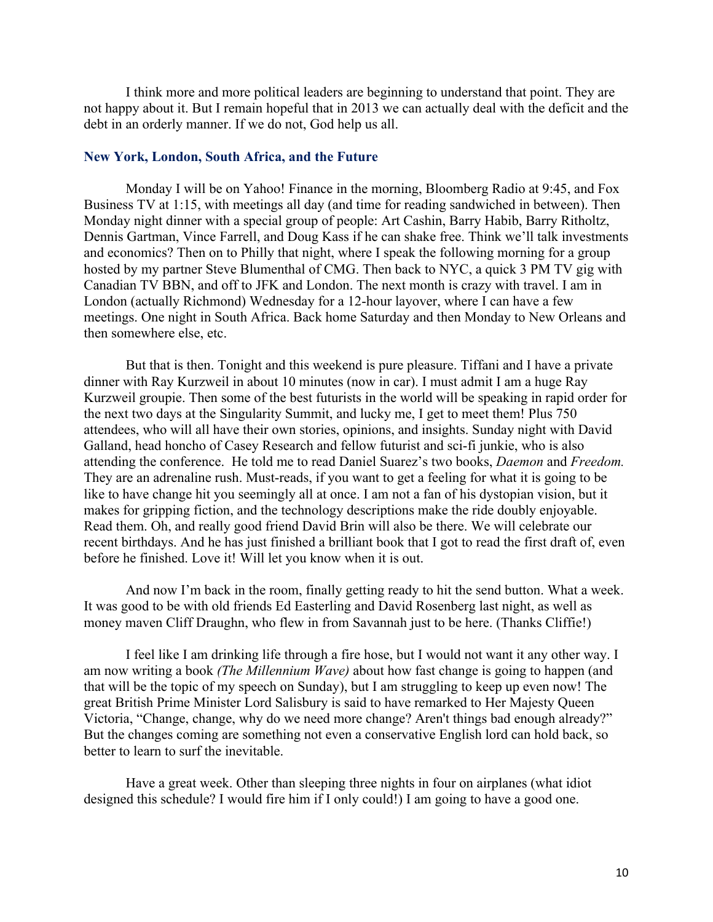I think more and more political leaders are beginning to understand that point. They are not happy about it. But I remain hopeful that in 2013 we can actually deal with the deficit and the debt in an orderly manner. If we do not, God help us all.

#### **New York, London, South Africa, and the Future**

Monday I will be on Yahoo! Finance in the morning, Bloomberg Radio at 9:45, and Fox Business TV at 1:15, with meetings all day (and time for reading sandwiched in between). Then Monday night dinner with a special group of people: Art Cashin, Barry Habib, Barry Ritholtz, Dennis Gartman, Vince Farrell, and Doug Kass if he can shake free. Think we'll talk investments and economics? Then on to Philly that night, where I speak the following morning for a group hosted by my partner Steve Blumenthal of CMG. Then back to NYC, a quick 3 PM TV gig with Canadian TV BBN, and off to JFK and London. The next month is crazy with travel. I am in London (actually Richmond) Wednesday for a 12-hour layover, where I can have a few meetings. One night in South Africa. Back home Saturday and then Monday to New Orleans and then somewhere else, etc.

But that is then. Tonight and this weekend is pure pleasure. Tiffani and I have a private dinner with Ray Kurzweil in about 10 minutes (now in car). I must admit I am a huge Ray Kurzweil groupie. Then some of the best futurists in the world will be speaking in rapid order for the next two days at the Singularity Summit, and lucky me, I get to meet them! Plus 750 attendees, who will all have their own stories, opinions, and insights. Sunday night with David Galland, head honcho of Casey Research and fellow futurist and sci-fi junkie, who is also attending the conference. He told me to read Daniel Suarez's two books, *Daemon* and *Freedom.* They are an adrenaline rush. Must-reads, if you want to get a feeling for what it is going to be like to have change hit you seemingly all at once. I am not a fan of his dystopian vision, but it makes for gripping fiction, and the technology descriptions make the ride doubly enjoyable. Read them. Oh, and really good friend David Brin will also be there. We will celebrate our recent birthdays. And he has just finished a brilliant book that I got to read the first draft of, even before he finished. Love it! Will let you know when it is out.

And now I'm back in the room, finally getting ready to hit the send button. What a week. It was good to be with old friends Ed Easterling and David Rosenberg last night, as well as money maven Cliff Draughn, who flew in from Savannah just to be here. (Thanks Cliffie!)

I feel like I am drinking life through a fire hose, but I would not want it any other way. I am now writing a book *(The Millennium Wave)* about how fast change is going to happen (and that will be the topic of my speech on Sunday), but I am struggling to keep up even now! The great British Prime Minister Lord Salisbury is said to have remarked to Her Majesty Queen Victoria, "Change, change, why do we need more change? Aren't things bad enough already?" But the changes coming are something not even a conservative English lord can hold back, so better to learn to surf the inevitable.

Have a great week. Other than sleeping three nights in four on airplanes (what idiot designed this schedule? I would fire him if I only could!) I am going to have a good one.